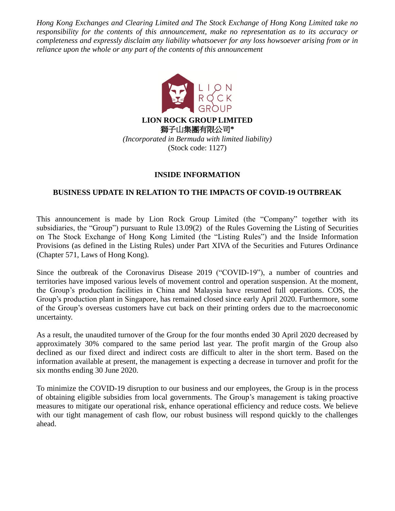*Hong Kong Exchanges and Clearing Limited and The Stock Exchange of Hong Kong Limited take no responsibility for the contents of this announcement, make no representation as to its accuracy or completeness and expressly disclaim any liability whatsoever for any loss howsoever arising from or in reliance upon the whole or any part of the contents of this announcement*



## **INSIDE INFORMATION**

## **BUSINESS UPDATE IN RELATION TO THE IMPACTS OF COVID-19 OUTBREAK**

This announcement is made by Lion Rock Group Limited (the "Company" together with its subsidiaries, the "Group") pursuant to Rule 13.09(2) of the Rules Governing the Listing of Securities on The Stock Exchange of Hong Kong Limited (the "Listing Rules") and the Inside Information Provisions (as defined in the Listing Rules) under Part XIVA of the Securities and Futures Ordinance (Chapter 571, Laws of Hong Kong).

Since the outbreak of the Coronavirus Disease 2019 ("COVID-19"), a number of countries and territories have imposed various levels of movement control and operation suspension. At the moment, the Group's production facilities in China and Malaysia have resumed full operations. COS, the Group's production plant in Singapore, has remained closed since early April 2020. Furthermore, some of the Group's overseas customers have cut back on their printing orders due to the macroeconomic uncertainty.

As a result, the unaudited turnover of the Group for the four months ended 30 April 2020 decreased by approximately 30% compared to the same period last year. The profit margin of the Group also declined as our fixed direct and indirect costs are difficult to alter in the short term. Based on the information available at present, the management is expecting a decrease in turnover and profit for the six months ending 30 June 2020.

To minimize the COVID-19 disruption to our business and our employees, the Group is in the process of obtaining eligible subsidies from local governments. The Group's management is taking proactive measures to mitigate our operational risk, enhance operational efficiency and reduce costs. We believe with our tight management of cash flow, our robust business will respond quickly to the challenges ahead.